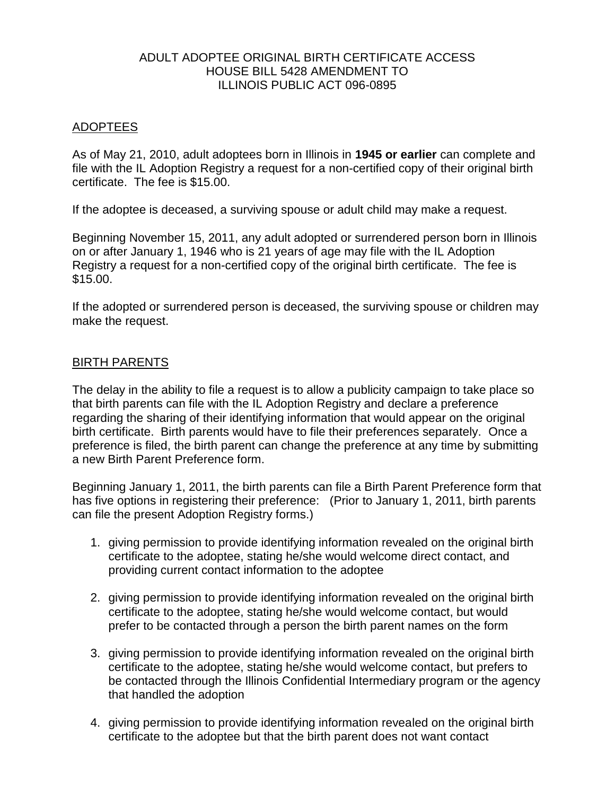## ADULT ADOPTEE ORIGINAL BIRTH CERTIFICATE ACCESS HOUSE BILL 5428 AMENDMENT TO ILLINOIS PUBLIC ACT 096-0895

## ADOPTEES

As of May 21, 2010, adult adoptees born in Illinois in **1945 or earlier** can complete and file with the IL Adoption Registry a request for a non-certified copy of their original birth certificate. The fee is \$15.00.

If the adoptee is deceased, a surviving spouse or adult child may make a request.

Beginning November 15, 2011, any adult adopted or surrendered person born in Illinois on or after January 1, 1946 who is 21 years of age may file with the IL Adoption Registry a request for a non-certified copy of the original birth certificate. The fee is \$15.00.

If the adopted or surrendered person is deceased, the surviving spouse or children may make the request.

## BIRTH PARENTS

The delay in the ability to file a request is to allow a publicity campaign to take place so that birth parents can file with the IL Adoption Registry and declare a preference regarding the sharing of their identifying information that would appear on the original birth certificate. Birth parents would have to file their preferences separately. Once a preference is filed, the birth parent can change the preference at any time by submitting a new Birth Parent Preference form.

Beginning January 1, 2011, the birth parents can file a Birth Parent Preference form that has five options in registering their preference: (Prior to January 1, 2011, birth parents can file the present Adoption Registry forms.)

- 1. giving permission to provide identifying information revealed on the original birth certificate to the adoptee, stating he/she would welcome direct contact, and providing current contact information to the adoptee
- 2. giving permission to provide identifying information revealed on the original birth certificate to the adoptee, stating he/she would welcome contact, but would prefer to be contacted through a person the birth parent names on the form
- 3. giving permission to provide identifying information revealed on the original birth certificate to the adoptee, stating he/she would welcome contact, but prefers to be contacted through the Illinois Confidential Intermediary program or the agency that handled the adoption
- 4. giving permission to provide identifying information revealed on the original birth certificate to the adoptee but that the birth parent does not want contact